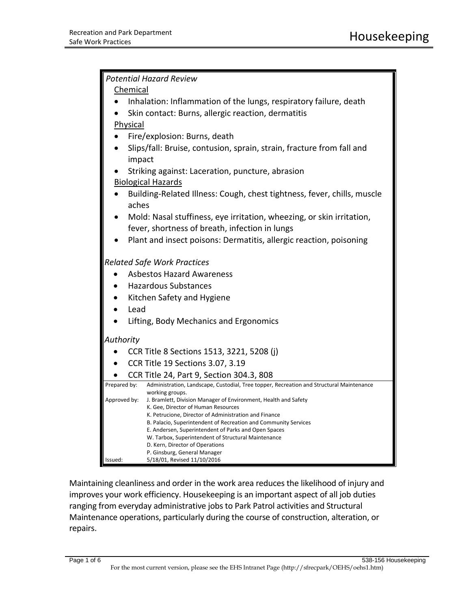| <b>Potential Hazard Review</b>                                        |                                                                                                             |  |
|-----------------------------------------------------------------------|-------------------------------------------------------------------------------------------------------------|--|
| Chemical                                                              |                                                                                                             |  |
|                                                                       | Inhalation: Inflammation of the lungs, respiratory failure, death                                           |  |
| Skin contact: Burns, allergic reaction, dermatitis                    |                                                                                                             |  |
| Physical                                                              |                                                                                                             |  |
| Fire/explosion: Burns, death                                          |                                                                                                             |  |
| Slips/fall: Bruise, contusion, sprain, strain, fracture from fall and |                                                                                                             |  |
| impact                                                                |                                                                                                             |  |
|                                                                       | Striking against: Laceration, puncture, abrasion                                                            |  |
| <b>Biological Hazards</b>                                             |                                                                                                             |  |
| aches                                                                 | Building-Related Illness: Cough, chest tightness, fever, chills, muscle                                     |  |
| Mold: Nasal stuffiness, eye irritation, wheezing, or skin irritation, |                                                                                                             |  |
| fever, shortness of breath, infection in lungs                        |                                                                                                             |  |
|                                                                       | Plant and insect poisons: Dermatitis, allergic reaction, poisoning                                          |  |
| <b>Related Safe Work Practices</b>                                    |                                                                                                             |  |
| <b>Asbestos Hazard Awareness</b>                                      |                                                                                                             |  |
| <b>Hazardous Substances</b>                                           |                                                                                                             |  |
| Kitchen Safety and Hygiene                                            |                                                                                                             |  |
| Lead                                                                  |                                                                                                             |  |
| Lifting, Body Mechanics and Ergonomics                                |                                                                                                             |  |
| Authority                                                             |                                                                                                             |  |
|                                                                       | CCR Title 8 Sections 1513, 3221, 5208 (j)                                                                   |  |
| CCR Title 19 Sections 3.07, 3.19                                      |                                                                                                             |  |
| CCR Title 24, Part 9, Section 304.3, 808                              |                                                                                                             |  |
| Prepared by:                                                          | Administration, Landscape, Custodial, Tree topper, Recreation and Structural Maintenance                    |  |
| Approved by:                                                          | working groups.<br>J. Bramlett, Division Manager of Environment, Health and Safety                          |  |
|                                                                       | K. Gee, Director of Human Resources<br>K. Petrucione, Director of Administration and Finance                |  |
|                                                                       | B. Palacio, Superintendent of Recreation and Community Services                                             |  |
|                                                                       | E. Andersen, Superintendent of Parks and Open Spaces<br>W. Tarbox, Superintendent of Structural Maintenance |  |
|                                                                       | D. Kern, Director of Operations                                                                             |  |
| Issued:                                                               | P. Ginsburg, General Manager<br>5/18/01, Revised 11/10/2016                                                 |  |
|                                                                       |                                                                                                             |  |

Maintaining cleanliness and order in the work area reduces the likelihood of injury and improves your work efficiency. Housekeeping is an important aspect of all job duties ranging from everyday administrative jobs to Park Patrol activities and Structural Maintenance operations, particularly during the course of construction, alteration, or repairs.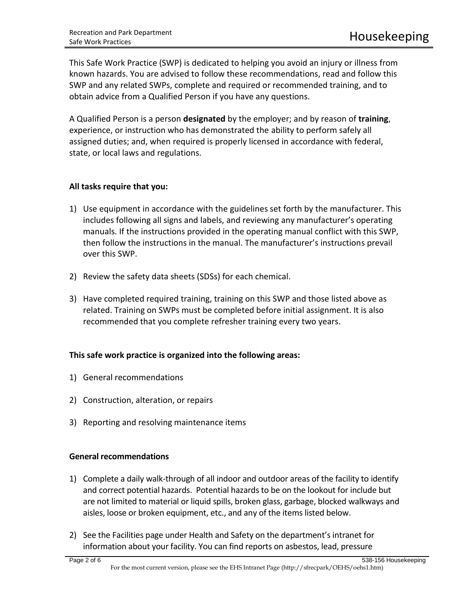This Safe Work Practice (SWP) is dedicated to helping you avoid an injury or illness from known hazards. You are advised to follow these recommendations, read and follow this SWP and any related SWPs, complete and required or recommended training, and to obtain advice from a Qualified Person if you have any questions.

A Qualified Person is a person **designated** by the employer; and by reason of **training**, experience, or instruction who has demonstrated the ability to perform safely all assigned duties; and, when required is properly licensed in accordance with federal, state, or local laws and regulations.

# **All tasks require that you:**

- 1) Use equipment in accordance with the guidelines set forth by the manufacturer. This includes following all signs and labels, and reviewing any manufacturer's operating manuals. If the instructions provided in the operating manual conflict with this SWP, then follow the instructions in the manual. The manufacturer's instructions prevail over this SWP.
- 2) Review the safety data sheets (SDSs) for each chemical.
- 3) Have completed required training, training on this SWP and those listed above as related. Training on SWPs must be completed before initial assignment. It is also recommended that you complete refresher training every two years.

# **This safe work practice is organized into the following areas:**

- 1) General recommendations
- 2) Construction, alteration, or repairs
- 3) Reporting and resolving maintenance items

# **General recommendations**

- 1) Complete a daily walk-through of all indoor and outdoor areas of the facility to identify and correct potential hazards. Potential hazards to be on the lookout for include but are not limited to material or liquid spills, broken glass, garbage, blocked walkways and aisles, loose or broken equipment, etc., and any of the items listed below.
- 2) See the Facilities page under Health and Safety on the department's intranet for information about your facility. You can find reports on asbestos, lead, pressure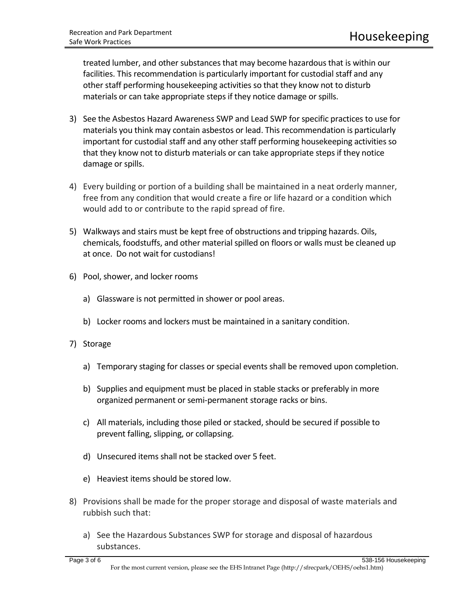treated lumber, and other substances that may become hazardous that is within our facilities. This recommendation is particularly important for custodial staff and any other staff performing housekeeping activities so that they know not to disturb materials or can take appropriate steps if they notice damage or spills.

- 3) See the Asbestos Hazard Awareness SWP and Lead SWP for specific practices to use for materials you think may contain asbestos or lead. This recommendation is particularly important for custodial staff and any other staff performing housekeeping activities so that they know not to disturb materials or can take appropriate steps if they notice damage or spills.
- 4) Every building or portion of a building shall be maintained in a neat orderly manner, free from any condition that would create a fire or life hazard or a condition which would add to or contribute to the rapid spread of fire.
- 5) Walkways and stairs must be kept free of obstructions and tripping hazards. Oils, chemicals, foodstuffs, and other material spilled on floors or walls must be cleaned up at once. Do not wait for custodians!
- 6) Pool, shower, and locker rooms
	- a) Glassware is not permitted in shower or pool areas.
	- b) Locker rooms and lockers must be maintained in a sanitary condition.
- 7) Storage
	- a) Temporary staging for classes or special events shall be removed upon completion.
	- b) Supplies and equipment must be placed in stable stacks or preferably in more organized permanent or semi-permanent storage racks or bins.
	- c) All materials, including those piled or stacked, should be secured if possible to prevent falling, slipping, or collapsing.
	- d) Unsecured items shall not be stacked over 5 feet.
	- e) Heaviest items should be stored low.
- 8) Provisions shall be made for the proper storage and disposal of waste materials and rubbish such that:
	- a) See the Hazardous Substances SWP for storage and disposal of hazardous substances.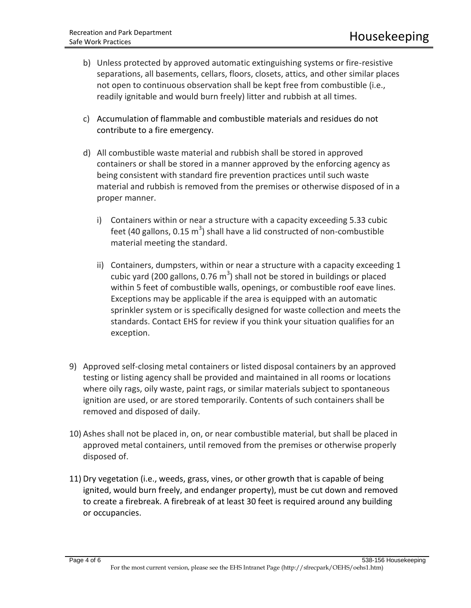- b) Unless protected by approved automatic extinguishing systems or fire-resistive separations, all basements, cellars, floors, closets, attics, and other similar places not open to continuous observation shall be kept free from combustible (i.e., readily ignitable and would burn freely) litter and rubbish at all times.
- c) Accumulation of flammable and combustible materials and residues do not contribute to a fire emergency.
- d) All combustible waste material and rubbish shall be stored in approved containers or shall be stored in a manner approved by the enforcing agency as being consistent with standard fire prevention practices until such waste material and rubbish is removed from the premises or otherwise disposed of in a proper manner.
	- i) Containers within or near a structure with a capacity exceeding 5.33 cubic feet (40 gallons, 0.15  $m^3$ ) shall have a lid constructed of non-combustible material meeting the standard.
	- ii) Containers, dumpsters, within or near a structure with a capacity exceeding 1 cubic yard (200 gallons, 0.76  $m^3$ ) shall not be stored in buildings or placed within 5 feet of combustible walls, openings, or combustible roof eave lines. Exceptions may be applicable if the area is equipped with an automatic sprinkler system or is specifically designed for waste collection and meets the standards. Contact EHS for review if you think your situation qualifies for an exception.
- 9) Approved self-closing metal containers or listed disposal containers by an approved testing or listing agency shall be provided and maintained in all rooms or locations where oily rags, oily waste, paint rags, or similar materials subject to spontaneous ignition are used, or are stored temporarily. Contents of such containers shall be removed and disposed of daily.
- 10) Ashes shall not be placed in, on, or near combustible material, but shall be placed in approved metal containers, until removed from the premises or otherwise properly disposed of.
- 11) Dry vegetation (i.e., weeds, grass, vines, or other growth that is capable of being ignited, would burn freely, and endanger property), must be cut down and removed to create a firebreak. A firebreak of at least 30 feet is required around any building or occupancies.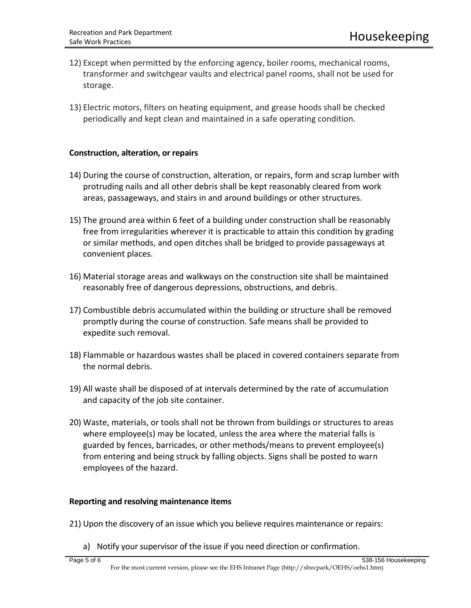- 12) Except when permitted by the enforcing agency, boiler rooms, mechanical rooms, transformer and switchgear vaults and electrical panel rooms, shall not be used for storage.
- 13) Electric motors, filters on heating equipment, and grease hoods shall be checked periodically and kept clean and maintained in a safe operating condition.

## **Construction, alteration, or repairs**

- 14) During the course of construction, alteration, or repairs, form and scrap lumber with protruding nails and all other debris shall be kept reasonably cleared from work areas, passageways, and stairs in and around buildings or other structures.
- 15) The ground area within 6 feet of a building under construction shall be reasonably free from irregularities wherever it is practicable to attain this condition by grading or similar methods, and open ditches shall be bridged to provide passageways at convenient places.
- 16) Material storage areas and walkways on the construction site shall be maintained reasonably free of dangerous depressions, obstructions, and debris.
- 17) Combustible debris accumulated within the building or structure shall be removed promptly during the course of construction. Safe means shall be provided to expedite such removal.
- 18) Flammable or hazardous wastes shall be placed in covered containers separate from the normal debris.
- 19) All waste shall be disposed of at intervals determined by the rate of accumulation and capacity of the job site container.
- 20) Waste, materials, or tools shall not be thrown from buildings or structures to areas where employee(s) may be located, unless the area where the material falls is guarded by fences, barricades, or other methods/means to prevent employee(s) from entering and being struck by falling objects. Signs shall be posted to warn employees of the hazard.

## **Reporting and resolving maintenance items**

- 21) Upon the discovery of an issue which you believe requires maintenance or repairs:
	- a) Notify your supervisor of the issue if you need direction or confirmation.